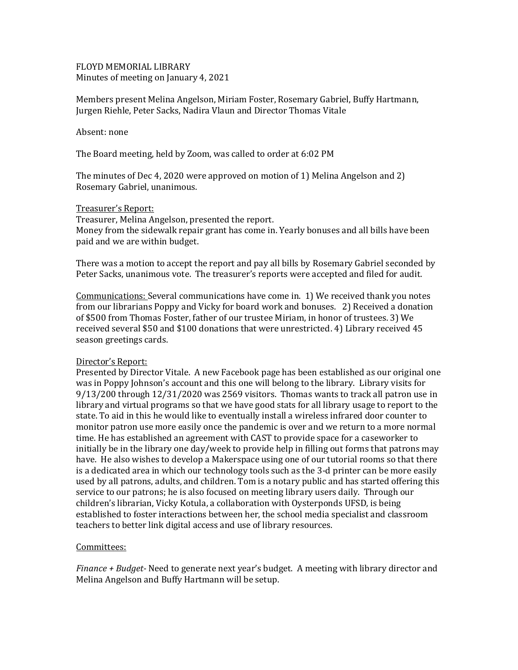FLOYD MEMORIAL LIBRARY Minutes of meeting on January 4, 2021

Members present Melina Angelson, Miriam Foster, Rosemary Gabriel, Buffy Hartmann, Jurgen Riehle, Peter Sacks, Nadira Vlaun and Director Thomas Vitale

Absent: none

The Board meeting, held by Zoom, was called to order at 6:02 PM

The minutes of Dec 4, 2020 were approved on motion of 1) Melina Angelson and 2) Rosemary Gabriel, unanimous.

## Treasurer's Report:

Treasurer, Melina Angelson, presented the report. Money from the sidewalk repair grant has come in. Yearly bonuses and all bills have been paid and we are within budget.

There was a motion to accept the report and pay all bills by Rosemary Gabriel seconded by Peter Sacks, unanimous vote. The treasurer's reports were accepted and filed for audit.

Communications: Several communications have come in. 1) We received thank you notes from our librarians Poppy and Vicky for board work and bonuses. 2) Received a donation of \$500 from Thomas Foster, father of our trustee Miriam, in honor of trustees. 3) We received several \$50 and \$100 donations that were unrestricted. 4) Library received 45 season greetings cards.

## Director's Report:

Presented by Director Vitale. A new Facebook page has been established as our original one was in Poppy Johnson's account and this one will belong to the library. Library visits for 9/13/200 through 12/31/2020 was 2569 visitors. Thomas wants to track all patron use in library and virtual programs so that we have good stats for all library usage to report to the state. To aid in this he would like to eventually install a wireless infrared door counter to monitor patron use more easily once the pandemic is over and we return to a more normal time. He has established an agreement with CAST to provide space for a caseworker to initially be in the library one day/week to provide help in filling out forms that patrons may have. He also wishes to develop a Makerspace using one of our tutorial rooms so that there is a dedicated area in which our technology tools such as the 3-d printer can be more easily used by all patrons, adults, and children. Tom is a notary public and has started offering this service to our patrons; he is also focused on meeting library users daily. Through our children's librarian, Vicky Kotula, a collaboration with Oysterponds UFSD, is being established to foster interactions between her, the school media specialist and classroom teachers to better link digital access and use of library resources.

## Committees:

*Finance + Budget-* Need to generate next year's budget. A meeting with library director and Melina Angelson and Buffy Hartmann will be setup.